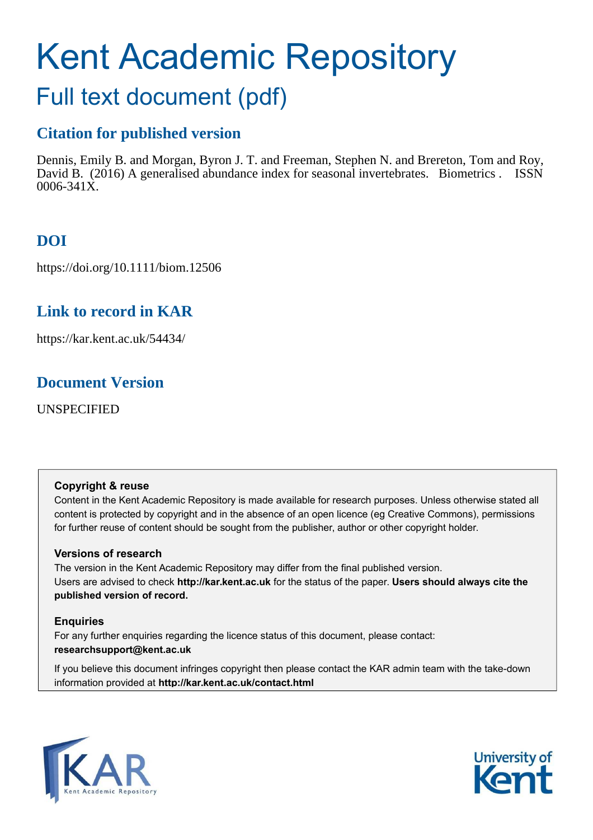# <span id="page-0-0"></span>Kent Academic Repository

# Full text document (pdf)

# **Citation for published version**

Dennis, Emily B. and Morgan, Byron J. T. and Freeman, Stephen N. and Brereton, Tom and Roy, David B. (2016) A generalised abundance index for seasonal invertebrates. Biometrics . ISSN 0006-341X.

# **DOI**

https://doi.org/10.1111/biom.12506

# **Link to record in KAR**

https://kar.kent.ac.uk/54434/

## **Document Version**

UNSPECIFIED

## **Copyright & reuse**

Content in the Kent Academic Repository is made available for research purposes. Unless otherwise stated all content is protected by copyright and in the absence of an open licence (eg Creative Commons), permissions for further reuse of content should be sought from the publisher, author or other copyright holder.

## **Versions of research**

The version in the Kent Academic Repository may differ from the final published version. Users are advised to check **http://kar.kent.ac.uk** for the status of the paper. **Users should always cite the published version of record.**

## **Enquiries**

For any further enquiries regarding the licence status of this document, please contact: **researchsupport@kent.ac.uk**

If you believe this document infringes copyright then please contact the KAR admin team with the take-down information provided at **http://kar.kent.ac.uk/contact.html**



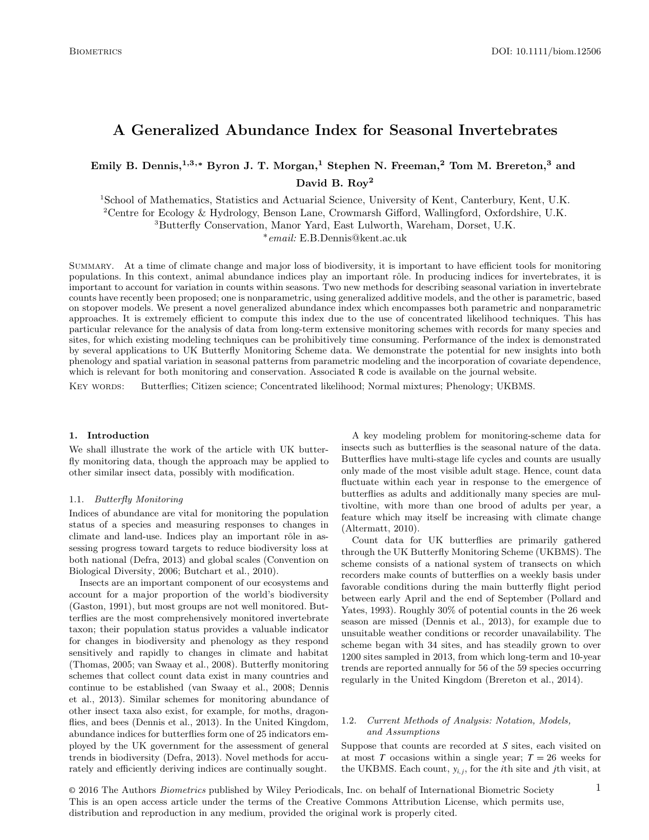## A Generalized Abundance Index for Seasonal Invertebrates

### Emily B. Dennis,<sup>[1,3,\\*](#page-0-0)</sup> Byron J. T. Morgan,<sup>[1](#page-0-0)</sup> Stephen N. Freeman,<sup>[2](#page-0-0)</sup> Tom M. Brereton,<sup>[3](#page-0-0)</sup> and David B. Rov<sup>[2](#page-0-0)</sup>

<sup>1</sup>School of Mathematics, Statistics and Actuarial Science, University of Kent, Canterbury, Kent, U.K.

<sup>2</sup>Centre for Ecology & Hydrology, Benson Lane, Crowmarsh Gifford, Wallingford, Oxfordshire, U.K.

<sup>3</sup>Butterfly Conservation, Manor Yard, East Lulworth, Wareham, Dorset, U.K.

∗ email: E.B.Dennis@kent.ac.uk

Summary. At a time of climate change and major loss of biodiversity, it is important to have efficient tools for monitoring populations. In this context, animal abundance indices play an important rôle. In producing indices for invertebrates, it is important to account for variation in counts within seasons. Two new methods for describing seasonal variation in invertebrate counts have recently been proposed; one is nonparametric, using generalized additive models, and the other is parametric, based on stopover models. We present a novel generalized abundance index which encompasses both parametric and nonparametric approaches. It is extremely efficient to compute this index due to the use of concentrated likelihood techniques. This has particular relevance for the analysis of data from long-term extensive monitoring schemes with records for many species and sites, for which existing modeling techniques can be prohibitively time consuming. Performance of the index is demonstrated by several applications to UK Butterfly Monitoring Scheme data. We demonstrate the potential for new insights into both phenology and spatial variation in seasonal patterns from parametric modeling and the incorporation of covariate dependence, which is relevant for both monitoring and conservation. Associated R code is available on the journal website.

KEY WORDS: Butterflies; Citizen science; Concentrated likelihood; Normal mixtures; Phenology; UKBMS.

#### 1. Introduction

We shall illustrate the work of the article with UK butterfly monitoring data, though the approach may be applied to other similar insect data, possibly with modification.

#### 1.1. Butterfly Monitoring

Indices of abundance are vital for monitoring the population status of a species and measuring responses to changes in climate and land-use. Indices play an important rôle in assessing progress toward targets to reduce biodiversity loss at both national [\(Defra, 2013\) a](#page-9-0)nd global scales [\(Convention on](#page-9-0) Biological Diversity[, 2006; Butchart et al., 2010\).](#page-9-0)

Insects are an important component of our ecosystems and account for a major proportion of the world's biodiversity [\(Gaston, 1991\), b](#page-9-0)ut most groups are not well monitored. Butterflies are the most comprehensively monitored invertebrate taxon; their population status provides a valuable indicator for changes in biodiversity and phenology as they respond sensitively and rapidly to changes in climate and habitat [\(Thomas, 2005; van Swaay et al., 2008\).](#page-9-0) Butterfly monitoring schemes that collect count data exist in many countries and continue to be established [\(van Swaay et al., 2008; Dennis](#page-9-0) et al.[, 2013\).](#page-9-0) Similar schemes for monitoring abundance of other insect taxa also exist, for example, for moths, dragonflies, and bees [\(Dennis et al., 2013\).](#page-9-0) In the United Kingdom, abundance indices for butterflies form one of 25 indicators employed by the UK government for the assessment of general trends in biodiversity [\(Defra, 2013\).](#page-9-0) Novel methods for accurately and efficiently deriving indices are continually sought.

A key modeling problem for monitoring-scheme data for insects such as butterflies is the seasonal nature of the data. Butterflies have multi-stage life cycles and counts are usually only made of the most visible adult stage. Hence, count data fluctuate within each year in response to the emergence of butterflies as adults and additionally many species are multivoltine, with more than one brood of adults per year, a feature which may itself be increasing with climate change [\(Altermatt, 2010\).](#page-9-0)

Count data for UK butterflies are primarily gathered through the UK Butterfly Monitoring Scheme (UKBMS). The scheme consists of a national system of transects on which recorders make counts of butterflies on a weekly basis under favorable conditions during the main butterfly flight period between early April and the end of September [\(Pollard and](#page-9-0) Yate[s, 1993\). R](#page-9-0)oughly 30% of potential counts in the 26 week season are missed [\(Dennis et al., 2013\),](#page-9-0) for example due to unsuitable weather conditions or recorder unavailability. The scheme began with 34 sites, and has steadily grown to over 1200 sites sampled in 2013, from which long-term and 10-year trends are reported annually for 56 of the 59 species occurring regularly in the United Kingdom [\(Brereton et al., 2014\).](#page-9-0)

#### 1.2. Current Methods of Analysis: Notation, Models, and Assumptions

Suppose that counts are recorded at S sites, each visited on at most T occasions within a single year;  $T = 26$  weeks for the UKBMS. Each count,  $y_{i,j}$ , for the *i*th site and *j*th visit, at

© 2016 The Authors Biometrics published by Wiley Periodicals, Inc. on behalf of International Biometric Society This is an open access article under the terms of the [Creative Commons Attribution](http://creativecommons.org/licenses/by/4.0/) License, which permits use, distribution and reproduction in any medium, provided the original work is properly cited.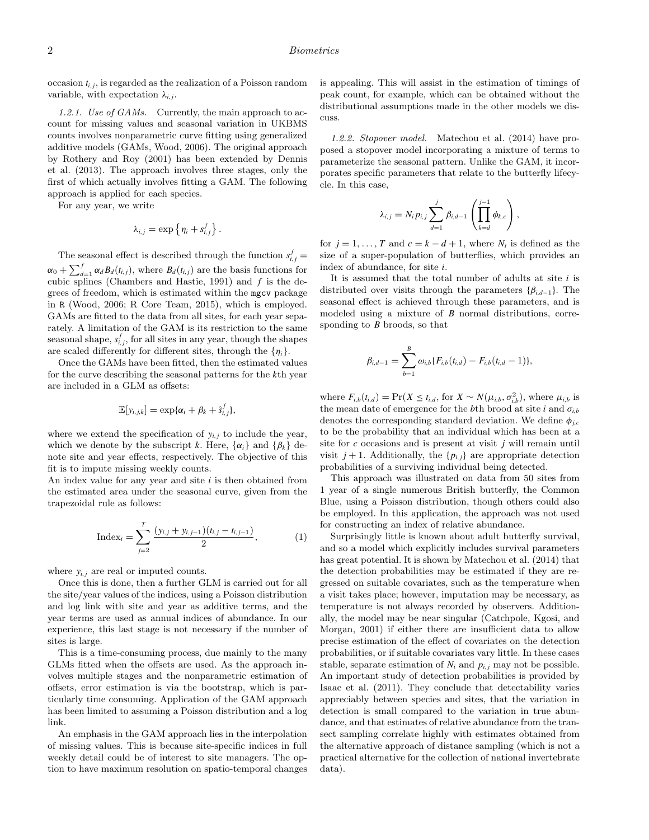occasion  $t_{i,j}$ , is regarded as the realization of a Poisson random variable, with expectation  $\lambda_{i,i}$ .

1.2.1. Use of GAMs. Currently, the main approach to account for missing values and seasonal variation in UKBMS counts involves nonparametric curve fitting using generalized additive models (GAMs, [Wood, 2006\).](#page-9-0) The original approach by [Rothery and Roy \(2001\) h](#page-9-0)as been extended by [Dennis](#page-9-0) et al. [\(2013\).](#page-9-0) The approach involves three stages, only the first of which actually involves fitting a GAM. The following approach is applied for each species.

For any year, we write

$$
\lambda_{i,j}=\exp\left\{\eta_i+s_{i,j}^f\right\}.
$$

The seasonal effect is described through the function  $s_{i,j}^f =$  $\alpha_0 + \sum_{d=1}^f \alpha_d B_d(t_{i,j})$ , where  $B_d(t_{i,j})$  are the basis functions for cubic splines [\(Chambers and Hastie, 1991\) a](#page-9-0)nd  $f$  is the degrees of freedom, which is estimated within the mgcv package in R [\(Wood, 2006; R Core Team, 2015\),](#page-9-0) which is employed. GAMs are fitted to the data from all sites, for each year separately. A limitation of the GAM is its restriction to the same seasonal shape,  $s_{i,j}^f$ , for all sites in any year, though the shapes are scaled differently for different sites, through the  $\{\eta_i\}$ .

Once the GAMs have been fitted, then the estimated values for the curve describing the seasonal patterns for the kth year are included in a GLM as offsets:

$$
\mathbb{E}[y_{i,j,k}] = \exp{\{\alpha_i + \beta_k + \hat{s}_{i,j}^f\}},
$$

where we extend the specification of  $y_{i,j}$  to include the year, which we denote by the subscript k. Here,  $\{\alpha_i\}$  and  $\{\beta_k\}$  denote site and year effects, respectively. The objective of this fit is to impute missing weekly counts.

An index value for any year and site  $i$  is then obtained from the estimated area under the seasonal curve, given from the trapezoidal rule as follows:

$$
\text{Index}_{i} = \sum_{j=2}^{T} \frac{(y_{i,j} + y_{i,j-1})(t_{i,j} - t_{i,j-1})}{2}, \tag{1}
$$

where  $y_{i,j}$  are real or imputed counts.

Once this is done, then a further GLM is carried out for all the site/year values of the indices, using a Poisson distribution and log link with site and year as additive terms, and the year terms are used as annual indices of abundance. In our experience, this last stage is not necessary if the number of sites is large.

This is a time-consuming process, due mainly to the many GLMs fitted when the offsets are used. As the approach involves multiple stages and the nonparametric estimation of offsets, error estimation is via the bootstrap, which is particularly time consuming. Application of the GAM approach has been limited to assuming a Poisson distribution and a log link.

An emphasis in the GAM approach lies in the interpolation of missing values. This is because site-specific indices in full weekly detail could be of interest to site managers. The option to have maximum resolution on spatio-temporal changes

is appealing. This will assist in the estimation of timings of peak count, for example, which can be obtained without the distributional assumptions made in the other models we discuss.

1.2.2. Stopover model. [Matechou et al. \(2014\) h](#page-9-0)ave proposed a stopover model incorporating a mixture of terms to parameterize the seasonal pattern. Unlike the GAM, it incorporates specific parameters that relate to the butterfly lifecycle. In this case,

$$
\lambda_{i,j} = N_i p_{i,j} \sum_{d=1}^j \beta_{i,d-1} \left( \prod_{k=d}^{j-1} \phi_{k,c} \right),
$$

for  $j = 1, ..., T$  and  $c = k - d + 1$ , where  $N_i$  is defined as the size of a super-population of butterflies, which provides an index of abundance, for site i.

It is assumed that the total number of adults at site  $i$  is distributed over visits through the parameters  $\{\beta_{i,d-1}\}\$ . The seasonal effect is achieved through these parameters, and is modeled using a mixture of  $\boldsymbol{B}$  normal distributions, corresponding to  $B$  broods, so that

$$
\beta_{i,d-1} = \sum_{b=1}^B \omega_{i,b} \{F_{i,b}(t_{i,d}) - F_{i,b}(t_{i,d} - 1)\},\
$$

where  $F_{i,b}(t_{i,d}) = \Pr(X \le t_{i,d}, \text{ for } X \sim N(\mu_{i,b}, \sigma_{i,b}^2), \text{ where } \mu_{i,b} \text{ is }$ the mean date of emergence for the bth brood at site i and  $\sigma_{i,b}$ denotes the corresponding standard deviation. We define  $\phi_{j,c}$ to be the probability that an individual which has been at a site for  $c$  occasions and is present at visit  $j$  will remain until visit  $j + 1$ . Additionally, the  $\{p_{i,j}\}\$ are appropriate detection probabilities of a surviving individual being detected.

This approach was illustrated on data from 50 sites from 1 year of a single numerous British butterfly, the Common Blue, using a Poisson distribution, though others could also be employed. In this application, the approach was not used for constructing an index of relative abundance.

Surprisingly little is known about adult butterfly survival, and so a model which explicitly includes survival parameters has great potential. It is shown by [Matechou et al. \(2014\) t](#page-9-0)hat the detection probabilities may be estimated if they are regressed on suitable covariates, such as the temperature when a visit takes place; however, imputation may be necessary, as temperature is not always recorded by observers. Additionally, the model may be near singular [\(Catchpole, Kgosi, and](#page-9-0) Morgan, 2001) if either there are insufficient data to allow precise estimation of the effect of covariates on the detection probabilities, or if suitable covariates vary little. In these cases stable, separate estimation of  $N_i$  and  $p_{i,j}$  may not be possible. An important study of detection probabilities is provided by [Isaac et al. \(2011\).](#page-9-0) They conclude that detectability varies appreciably between species and sites, that the variation in detection is small compared to the variation in true abundance, and that estimates of relative abundance from the transect sampling correlate highly with estimates obtained from the alternative approach of distance sampling (which is not a practical alternative for the collection of national invertebrate data).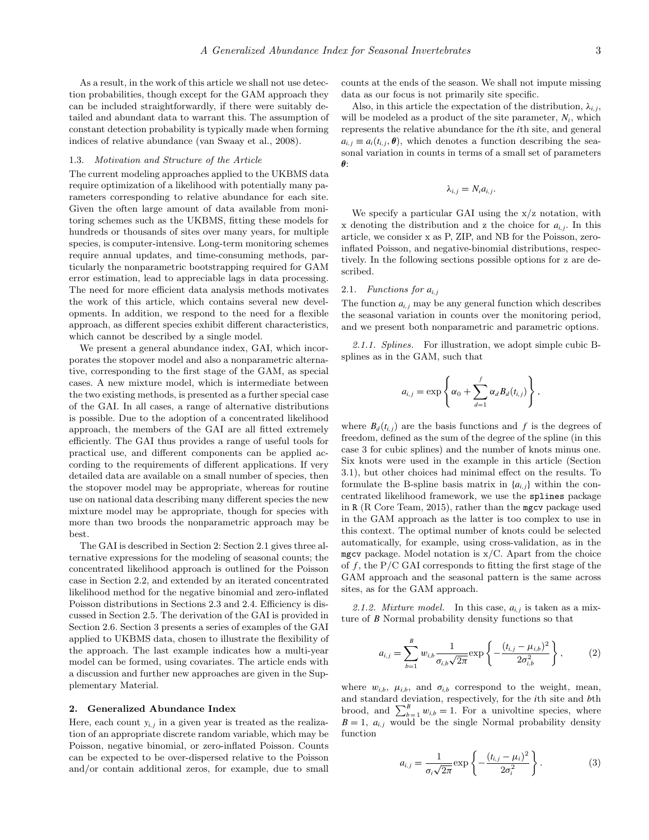As a result, in the work of this article we shall not use detection probabilities, though except for the GAM approach they can be included straightforwardly, if there were suitably detailed and abundant data to warrant this. The assumption of constant detection probability is typically made when forming indices of relative abundance [\(van Swaay et al., 2008\).](#page-9-0)

#### 1.3. Motivation and Structure of the Article

The current modeling approaches applied to the UKBMS data require optimization of a likelihood with potentially many parameters corresponding to relative abundance for each site. Given the often large amount of data available from monitoring schemes such as the UKBMS, fitting these models for hundreds or thousands of sites over many years, for multiple species, is computer-intensive. Long-term monitoring schemes require annual updates, and time-consuming methods, particularly the nonparametric bootstrapping required for GAM error estimation, lead to appreciable lags in data processing. The need for more efficient data analysis methods motivates the work of this article, which contains several new developments. In addition, we respond to the need for a flexible approach, as different species exhibit different characteristics, which cannot be described by a single model.

We present a general abundance index, GAI, which incorporates the stopover model and also a nonparametric alternative, corresponding to the first stage of the GAM, as special cases. A new mixture model, which is intermediate between the two existing methods, is presented as a further special case of the GAI. In all cases, a range of alternative distributions is possible. Due to the adoption of a concentrated likelihood approach, the members of the GAI are all fitted extremely efficiently. The GAI thus provides a range of useful tools for practical use, and different components can be applied according to the requirements of different applications. If very detailed data are available on a small number of species, then the stopover model may be appropriate, whereas for routine use on national data describing many different species the new mixture model may be appropriate, though for species with more than two broods the nonparametric approach may be best.

The GAI is described in Section 2: Section 2.1 gives three alternative expressions for the modeling of seasonal counts; the concentrated likelihood approach is outlined for the Poisson case in Section 2.2, and extended by an iterated concentrated likelihood method for the negative binomial and zero-inflated Poisson distributions in Sections 2.3 and 2.4. Efficiency is discussed in Section 2.5. The derivation of the GAI is provided in Section 2.6. Section 3 presents a series of examples of the GAI applied to UKBMS data, chosen to illustrate the flexibility of the approach. The last example indicates how a multi-year model can be formed, using covariates. The article ends with a discussion and further new approaches are given in the Supplementary Material.

#### 2. Generalized Abundance Index

Here, each count  $y_{i,j}$  in a given year is treated as the realization of an appropriate discrete random variable, which may be Poisson, negative binomial, or zero-inflated Poisson. Counts can be expected to be over-dispersed relative to the Poisson and/or contain additional zeros, for example, due to small counts at the ends of the season. We shall not impute missing data as our focus is not primarily site specific.

Also, in this article the expectation of the distribution,  $\lambda_{i,j}$ , will be modeled as a product of the site parameter,  $N_i$ , which represents the relative abundance for the ith site, and general  $a_{i,j} \equiv a_i(t_{i,j}, \theta)$ , which denotes a function describing the seasonal variation in counts in terms of a small set of parameters θ:

$$
\lambda_{i,j}=N_i a_{i,j}.
$$

We specify a particular GAI using the  $x/z$  notation, with x denoting the distribution and z the choice for  $a_{i,j}$ . In this article, we consider x as P, ZIP, and NB for the Poisson, zeroinflated Poisson, and negative-binomial distributions, respectively. In the following sections possible options for z are described.

#### 2.1. Functions for  $a_{i,j}$

The function  $a_{i,j}$  may be any general function which describes the seasonal variation in counts over the monitoring period, and we present both nonparametric and parametric options.

2.1.1. Splines. For illustration, we adopt simple cubic Bsplines as in the GAM, such that

$$
a_{i,j} = \exp\left\{\alpha_0 + \sum_{d=1}^f \alpha_d B_d(t_{i,j})\right\},\,
$$

where  $B_d(t_{i,j})$  are the basis functions and f is the degrees of freedom, defined as the sum of the degree of the spline (in this case 3 for cubic splines) and the number of knots minus one. Six knots were used in the example in this article (Section 3.1), but other choices had minimal effect on the results. To formulate the B-spline basis matrix in  $\{a_{i,j}\}\$  within the concentrated likelihood framework, we use the splines package in R [\(R Core Team, 2015\),](#page-9-0) rather than the mgcv package used in the GAM approach as the latter is too complex to use in this context. The optimal number of knots could be selected automatically, for example, using cross-validation, as in the mgcv package. Model notation is  $x/C$ . Apart from the choice of f, the  $P/C$  GAI corresponds to fitting the first stage of the GAM approach and the seasonal pattern is the same across sites, as for the GAM approach.

2.1.2. Mixture model. In this case,  $a_{i,j}$  is taken as a mixture of B Normal probability density functions so that

$$
a_{i,j} = \sum_{b=1}^{B} w_{i,b} \frac{1}{\sigma_{i,b}\sqrt{2\pi}} \exp\left\{-\frac{(t_{i,j} - \mu_{i,b})^2}{2\sigma_{i,b}^2}\right\},\qquad(2)
$$

where  $w_{i,b}$ ,  $\mu_{i,b}$ , and  $\sigma_{i,b}$  correspond to the weight, mean, and standard deviation, respectively, for the ith site and bth brood, and  $\sum_{b=1}^{B} w_{i,b} = 1$ . For a univoltine species, where  $B = 1$ ,  $a_{i,j}$  would be the single Normal probability density function

$$
a_{i,j} = \frac{1}{\sigma_i \sqrt{2\pi}} \exp\left\{-\frac{(t_{i,j} - \mu_i)^2}{2\sigma_i^2}\right\}.
$$
 (3)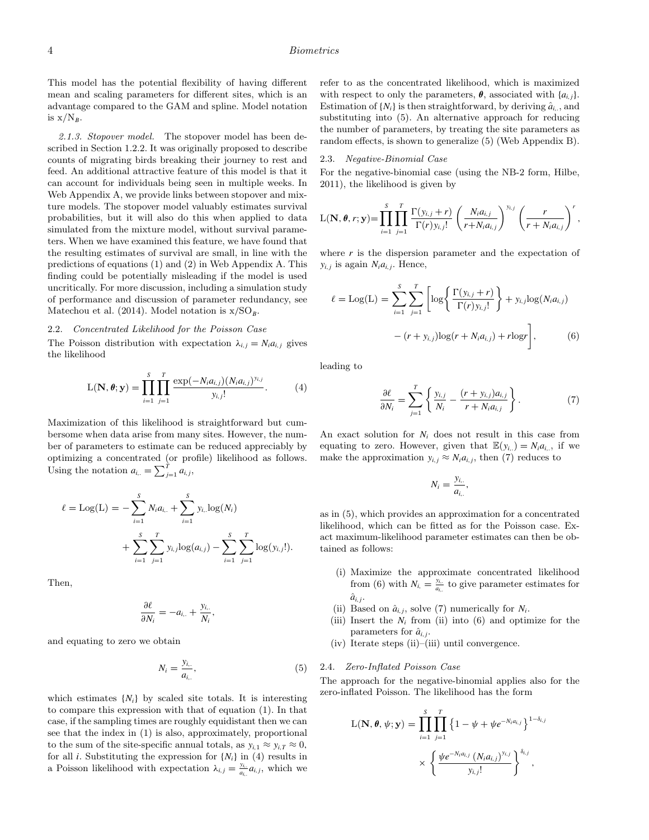#### 4 Biometrics

This model has the potential flexibility of having different mean and scaling parameters for different sites, which is an advantage compared to the GAM and spline. Model notation is  $x/N_B$ .

2.1.3. Stopover model. The stopover model has been described in Section 1.2.2. It was originally proposed to describe counts of migrating birds breaking their journey to rest and feed. An additional attractive feature of this model is that it can account for individuals being seen in multiple weeks. In Web Appendix A, we provide links between stopover and mixture models. The stopover model valuably estimates survival probabilities, but it will also do this when applied to data simulated from the mixture model, without survival parameters. When we have examined this feature, we have found that the resulting estimates of survival are small, in line with the predictions of equations (1) and (2) in Web Appendix A. This finding could be potentially misleading if the model is used uncritically. For more discussion, including a simulation study of performance and discussion of parameter redundancy, see [Matechou et al. \(2014\).](#page-9-0) Model notation is  $x/SO_B$ .

#### 2.2. Concentrated Likelihood for the Poisson Case

The Poisson distribution with expectation  $\lambda_{i,j} = N_i a_{i,j}$  gives the likelihood

$$
L(\mathbf{N}, \boldsymbol{\theta}; \mathbf{y}) = \prod_{i=1}^{S} \prod_{j=1}^{T} \frac{\exp(-N_i a_{i,j})(N_i a_{i,j})^{y_{i,j}}}{y_{i,j}!}.
$$
 (4)

Maximization of this likelihood is straightforward but cumbersome when data arise from many sites. However, the number of parameters to estimate can be reduced appreciably by optimizing a concentrated (or profile) likelihood as follows. Using the notation  $a_{i..} = \sum_{j=1}^{T} a_{i,j}$ ,

$$
\ell = \text{Log}(L) = -\sum_{i=1}^{S} N_i a_{i..} + \sum_{i=1}^{S} y_{i..} \text{log}(N_i) + \sum_{i=1}^{S} \sum_{j=1}^{T} y_{i,j} \text{log}(a_{i,j}) - \sum_{i=1}^{S} \sum_{j=1}^{T} \text{log}(y_{i,j}!).
$$

Then,

$$
\frac{\partial \ell}{\partial N_i} = -a_{i..} + \frac{y_{i..}}{N_i},
$$

and equating to zero we obtain

$$
N_i = \frac{y_{i, .}}{a_{i, .}},\tag{5}
$$

which estimates  $\{N_i\}$  by scaled site totals. It is interesting to compare this expression with that of equation (1). In that case, if the sampling times are roughly equidistant then we can see that the index in (1) is also, approximately, proportional to the sum of the site-specific annual totals, as  $y_{i,1} \approx y_{i,T} \approx 0$ , for all *i*. Substituting the expression for  $\{N_i\}$  in  $(4)$  results in a Poisson likelihood with expectation  $\lambda_{i,j} = \frac{y_{i,j}}{a_{i,j}} a_{i,j}$ , which we

refer to as the concentrated likelihood, which is maximized with respect to only the parameters,  $\theta$ , associated with  $\{a_{i,j}\}$ . Estimation of  $\{N_i\}$  is then straightforward, by deriving  $\hat{a}_{i,j}$ , and substituting into (5). An alternative approach for reducing the number of parameters, by treating the site parameters as random effects, is shown to generalize (5) (Web Appendix B).

#### 2.3. Negative-Binomial Case

For the negative-binomial case (using the NB-2 form, [Hilbe,](#page-9-0) [2011\),](#page-9-0) the likelihood is given by

$$
L(\mathbf{N},\boldsymbol{\theta},r;\mathbf{y}) = \prod_{i=1}^{S} \prod_{j=1}^{T} \frac{\Gamma(y_{i,j}+r)}{\Gamma(r)y_{i,j}!} \left(\frac{N_i a_{i,j}}{r+N_i a_{i,j}}\right)^{y_{i,j}} \left(\frac{r}{r+N_i a_{i,j}}\right)^r,
$$

where  $r$  is the dispersion parameter and the expectation of  $y_{i,j}$  is again  $N_i a_{i,j}$ . Hence,

$$
\ell = \text{Log}(L) = \sum_{i=1}^{S} \sum_{j=1}^{T} \left[ \log \left\{ \frac{\Gamma(y_{i,j} + r)}{\Gamma(r)y_{i,j}!} \right\} + y_{i,j} \log(N_i a_{i,j}) - (r + y_{i,j}) \log(r + N_i a_{i,j}) + r \log r \right],
$$
 (6)

leading to

$$
\frac{\partial \ell}{\partial N_i} = \sum_{j=1}^T \left\{ \frac{y_{i,j}}{N_i} - \frac{(r+y_{i,j})a_{i,j}}{r+N_i a_{i,j}} \right\}.
$$
 (7)

An exact solution for  $N_i$  does not result in this case from equating to zero. However, given that  $\mathbb{E}(y_{i}) = N_i a_{i...}$ , if we make the approximation  $y_{i,j} \approx N_i a_{i,j}$ , then (7) reduces to

$$
N_i=\frac{y_{i,.}}{a_{i,.}},
$$

as in (5), which provides an approximation for a concentrated likelihood, which can be fitted as for the Poisson case. Exact maximum-likelihood parameter estimates can then be obtained as follows:

- (i) Maximize the approximate concentrated likelihood from (6) with  $N_{i} = \frac{y_{i..}}{a_{i..}}$  to give parameter estimates for  $\hat{a}_{i,j}$ .
- (ii) Based on  $\hat{a}_{i,j}$ , solve (7) numerically for  $N_i$ .
- (iii) Insert the  $N_i$  from (ii) into (6) and optimize for the parameters for  $\hat{a}_{i,i}$ .
- (iv) Iterate steps (ii)–(iii) until convergence.

#### 2.4. Zero-Inflated Poisson Case

The approach for the negative-binomial applies also for the zero-inflated Poisson. The likelihood has the form

$$
L(\mathbf{N}, \boldsymbol{\theta}, \psi; \mathbf{y}) = \prod_{i=1}^{S} \prod_{j=1}^{T} \left\{ 1 - \psi + \psi e^{-N_i a_{i,j}} \right\}^{1 - \delta_{i,j}} \times \left\{ \frac{\psi e^{-N_i a_{i,j}} (N_i a_{i,j})^{y_{i,j}}}{y_{i,j}!} \right\}^{\delta_{i,j}},
$$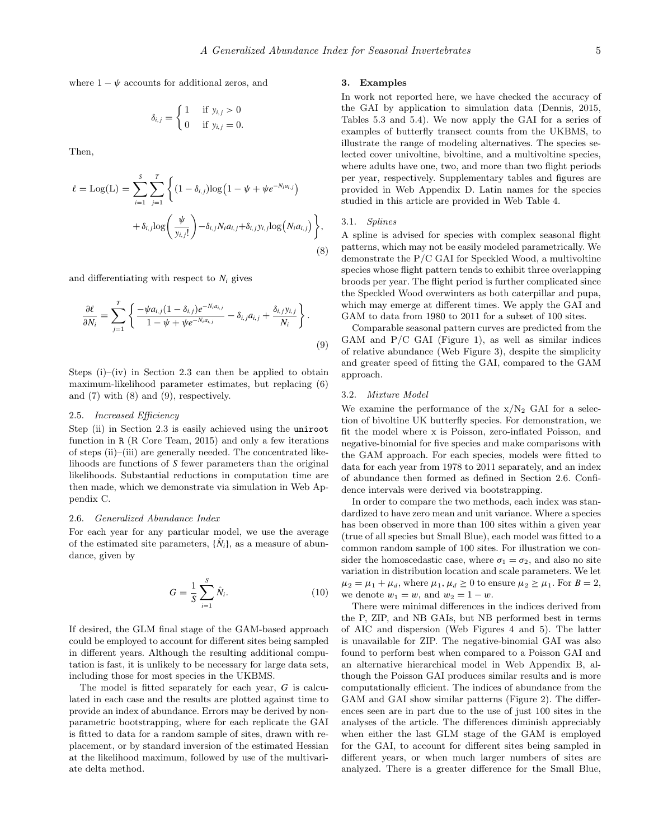where  $1 - \psi$  accounts for additional zeros, and

$$
\delta_{i,j} = \begin{cases} 1 & \text{if } y_{i,j} > 0 \\ 0 & \text{if } y_{i,j} = 0. \end{cases}
$$

Then,

$$
\ell = \text{Log}(L) = \sum_{i=1}^{S} \sum_{j=1}^{T} \left\{ (1 - \delta_{i,j}) \log \left( 1 - \psi + \psi e^{-N_i a_{i,j}} \right) + \delta_{i,j} \log \left( \frac{\psi}{y_{i,j}!} \right) - \delta_{i,j} N_i a_{i,j} + \delta_{i,j} y_{i,j} \log \left( N_i a_{i,j} \right) \right\},\tag{8}
$$

and differentiating with respect to  $N_i$  gives

$$
\frac{\partial \ell}{\partial N_i} = \sum_{j=1}^T \left\{ \frac{-\psi a_{i,j} (1 - \delta_{i,j}) e^{-N_i a_{i,j}}}{1 - \psi + \psi e^{-N_i a_{i,j}}} - \delta_{i,j} a_{i,j} + \frac{\delta_{i,j} y_{i,j}}{N_i} \right\}.
$$
\n(9)

Steps  $(i)$ – $(iv)$  in Section 2.3 can then be applied to obtain maximum-likelihood parameter estimates, but replacing (6) and (7) with (8) and (9), respectively.

#### 2.5. Increased Efficiency

Step (ii) in Section 2.3 is easily achieved using the uniroot function in R [\(R Core Team, 2015\) a](#page-9-0)nd only a few iterations of steps (ii)–(iii) are generally needed. The concentrated likelihoods are functions of S fewer parameters than the original likelihoods. Substantial reductions in computation time are then made, which we demonstrate via simulation in Web Appendix C.

#### 2.6. Generalized Abundance Index

For each year for any particular model, we use the average of the estimated site parameters,  $\{\hat{N}_i\}$ , as a measure of abundance, given by

$$
G = \frac{1}{S} \sum_{i=1}^{S} \hat{N}_i.
$$
 (10)

If desired, the GLM final stage of the GAM-based approach could be employed to account for different sites being sampled in different years. Although the resulting additional computation is fast, it is unlikely to be necessary for large data sets, including those for most species in the UKBMS.

The model is fitted separately for each year, G is calculated in each case and the results are plotted against time to provide an index of abundance. Errors may be derived by nonparametric bootstrapping, where for each replicate the GAI is fitted to data for a random sample of sites, drawn with replacement, or by standard inversion of the estimated Hessian at the likelihood maximum, followed by use of the multivariate delta method.

#### 3. Examples

In work not reported here, we have checked the accuracy of the GAI by application to simulation data [\(Dennis, 2015,](#page-9-0) Tables 5.3 and 5.4). We now apply the GAI for a series of examples of butterfly transect counts from the UKBMS, to illustrate the range of modeling alternatives. The species selected cover univoltine, bivoltine, and a multivoltine species, where adults have one, two, and more than two flight periods per year, respectively. Supplementary tables and figures are provided in Web Appendix D. Latin names for the species studied in this article are provided in Web Table 4.

#### 3.1. Splines

A spline is advised for species with complex seasonal flight patterns, which may not be easily modeled parametrically. We demonstrate the P/C GAI for Speckled Wood, a multivoltine species whose flight pattern tends to exhibit three overlapping broods per year. The flight period is further complicated since the Speckled Wood overwinters as both caterpillar and pupa, which may emerge at different times. We apply the GAI and GAM to data from 1980 to 2011 for a subset of 100 sites.

Comparable seasonal pattern curves are predicted from the GAM and P/C GAI (Figure 1), as well as similar indices of relative abundance (Web Figure 3), despite the simplicity and greater speed of fitting the GAI, compared to the GAM approach.

#### 3.2. Mixture Model

We examine the performance of the  $x/N_2$  GAI for a selection of bivoltine UK butterfly species. For demonstration, we fit the model where x is Poisson, zero-inflated Poisson, and negative-binomial for five species and make comparisons with the GAM approach. For each species, models were fitted to data for each year from 1978 to 2011 separately, and an index of abundance then formed as defined in Section 2.6. Confidence intervals were derived via bootstrapping.

In order to compare the two methods, each index was standardized to have zero mean and unit variance. Where a species has been observed in more than 100 sites within a given year (true of all species but Small Blue), each model was fitted to a common random sample of 100 sites. For illustration we consider the homoscedastic case, where  $\sigma_1 = \sigma_2$ , and also no site variation in distribution location and scale parameters. We let  $\mu_2 = \mu_1 + \mu_d$ , where  $\mu_1, \mu_d \geq 0$  to ensure  $\mu_2 \geq \mu_1$ . For  $B = 2$ , we denote  $w_1 = w$ , and  $w_2 = 1 - w$ .

There were minimal differences in the indices derived from the P, ZIP, and NB GAIs, but NB performed best in terms of AIC and dispersion (Web Figures 4 and 5). The latter is unavailable for ZIP. The negative-binomial GAI was also found to perform best when compared to a Poisson GAI and an alternative hierarchical model in Web Appendix B, although the Poisson GAI produces similar results and is more computationally efficient. The indices of abundance from the GAM and GAI show similar patterns (Figure 2). The differences seen are in part due to the use of just 100 sites in the analyses of the article. The differences diminish appreciably when either the last GLM stage of the GAM is employed for the GAI, to account for different sites being sampled in different years, or when much larger numbers of sites are analyzed. There is a greater difference for the Small Blue,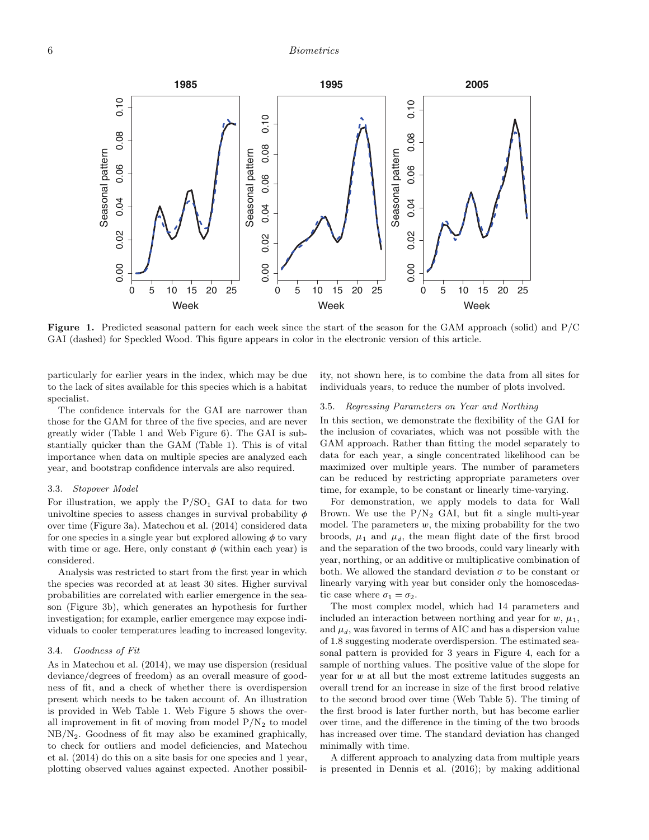

Figure 1. Predicted seasonal pattern for each week since the start of the season for the GAM approach (solid) and P/C GAI (dashed) for Speckled Wood. This figure appears in color in the electronic version of this article.

particularly for earlier years in the index, which may be due to the lack of sites available for this species which is a habitat specialist.

The confidence intervals for the GAI are narrower than those for the GAM for three of the five species, and are never greatly wider (Table 1 and Web Figure 6). The GAI is substantially quicker than the GAM (Table 1). This is of vital importance when data on multiple species are analyzed each year, and bootstrap confidence intervals are also required.

#### 3.3. Stopover Model

For illustration, we apply the  $P/SO<sub>1</sub>$  GAI to data for two univoltine species to assess changes in survival probability  $\phi$ over time (Figure 3a). [Matechou et al. \(2014\) c](#page-9-0)onsidered data for one species in a single year but explored allowing  $\phi$  to vary with time or age. Here, only constant  $\phi$  (within each year) is considered.

Analysis was restricted to start from the first year in which the species was recorded at at least 30 sites. Higher survival probabilities are correlated with earlier emergence in the season (Figure 3b), which generates an hypothesis for further investigation; for example, earlier emergence may expose individuals to cooler temperatures leading to increased longevity.

#### 3.4. Goodness of Fit

As in [Matechou et al. \(2014\),](#page-9-0) we may use dispersion (residual deviance/degrees of freedom) as an overall measure of goodness of fit, and a check of whether there is overdispersion present which needs to be taken account of. An illustration is provided in Web Table 1. Web Figure 5 shows the overall improvement in fit of moving from model  $P/N_2$  to model NB/N2. Goodness of fit may also be examined graphically, to check for outliers and model deficiencies, and [Matechou](#page-9-0) et al. [\(2014\) d](#page-9-0)o this on a site basis for one species and 1 year, plotting observed values against expected. Another possibility, not shown here, is to combine the data from all sites for individuals years, to reduce the number of plots involved.

#### 3.5. Regressing Parameters on Year and Northing

In this section, we demonstrate the flexibility of the GAI for the inclusion of covariates, which was not possible with the GAM approach. Rather than fitting the model separately to data for each year, a single concentrated likelihood can be maximized over multiple years. The number of parameters can be reduced by restricting appropriate parameters over time, for example, to be constant or linearly time-varying.

For demonstration, we apply models to data for Wall Brown. We use the  $P/N_2$  GAI, but fit a single multi-year model. The parameters  $w$ , the mixing probability for the two broods,  $\mu_1$  and  $\mu_d$ , the mean flight date of the first brood and the separation of the two broods, could vary linearly with year, northing, or an additive or multiplicative combination of both. We allowed the standard deviation  $\sigma$  to be constant or linearly varying with year but consider only the homoscedastic case where  $\sigma_1 = \sigma_2$ .

The most complex model, which had 14 parameters and included an interaction between northing and year for  $w, \mu_1$ , and  $\mu_d$ , was favored in terms of AIC and has a dispersion value of 1.8 suggesting moderate overdispersion. The estimated seasonal pattern is provided for 3 years in Figure 4, each for a sample of northing values. The positive value of the slope for year for  $w$  at all but the most extreme latitudes suggests an overall trend for an increase in size of the first brood relative to the second brood over time (Web Table 5). The timing of the first brood is later further north, but has become earlier over time, and the difference in the timing of the two broods has increased over time. The standard deviation has changed minimally with time.

A different approach to analyzing data from multiple years is presented in [Dennis et al. \(2016\);](#page-9-0) by making additional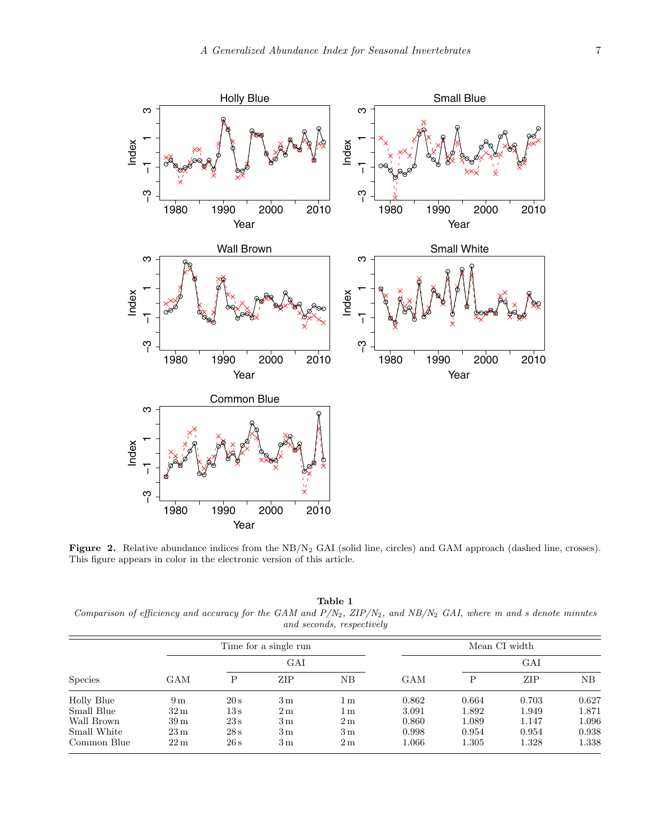

**Figure 2.** Relative abundance indices from the  $NB/N_2$  GAI (solid line, circles) and GAM approach (dashed line, crosses). This figure appears in color in the electronic version of this article.

Table 1 Comparison of efficiency and accuracy for the GAM and  $P/N_2$ , ZIP/N<sub>2</sub>, and NB/N<sub>2</sub> GAI, where m and s denote minutes and seconds, respectively

| <b>Species</b> | Time for a single run |                  |                 |                  | Mean CI width |       |       |       |
|----------------|-----------------------|------------------|-----------------|------------------|---------------|-------|-------|-------|
|                | GAI                   |                  |                 |                  |               | GAI   |       |       |
|                | GAM                   | P                | ZIP             | NB               | GAM           | D     | ZIP   | NΒ    |
| Holly Blue     | 9 <sub>m</sub>        | 20 s             | 3m              | 1 m              | 0.862         | 0.664 | 0.703 | 0.627 |
| Small Blue     | $32 \,\mathrm{m}$     | $13\,\mathrm{s}$ | $2\,\mathrm{m}$ | $1 \,\mathrm{m}$ | 3.091         | 1.892 | 1.949 | 1.871 |
| Wall Brown     | 39 <sub>m</sub>       | 23 s             | 3m              | 2m               | 0.860         | 1.089 | 1.147 | 1.096 |
| Small White    | $23 \,\mathrm{m}$     | 28s              | 3m              | 3m               | 0.998         | 0.954 | 0.954 | 0.938 |
| Common Blue    | $22 \,\mathrm{m}$     | 26s              | 3m              | 2m               | 1.066         | 1.305 | 1.328 | 1.338 |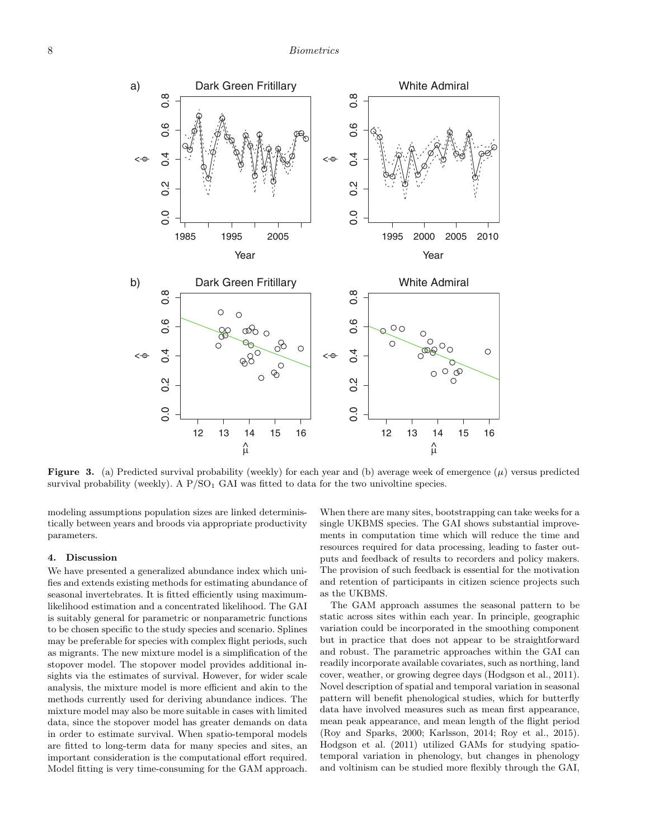#### 8 Biometrics



Figure 3. (a) Predicted survival probability (weekly) for each year and (b) average week of emergence  $(\mu)$  versus predicted survival probability (weekly). A  $P/SO<sub>1</sub>$  GAI was fitted to data for the two univoltine species.

modeling assumptions population sizes are linked deterministically between years and broods via appropriate productivity parameters.

#### 4. Discussion

We have presented a generalized abundance index which unifies and extends existing methods for estimating abundance of seasonal invertebrates. It is fitted efficiently using maximumlikelihood estimation and a concentrated likelihood. The GAI is suitably general for parametric or nonparametric functions to be chosen specific to the study species and scenario. Splines may be preferable for species with complex flight periods, such as migrants. The new mixture model is a simplification of the stopover model. The stopover model provides additional insights via the estimates of survival. However, for wider scale analysis, the mixture model is more efficient and akin to the methods currently used for deriving abundance indices. The mixture model may also be more suitable in cases with limited data, since the stopover model has greater demands on data in order to estimate survival. When spatio-temporal models are fitted to long-term data for many species and sites, an important consideration is the computational effort required. Model fitting is very time-consuming for the GAM approach.

When there are many sites, bootstrapping can take weeks for a single UKBMS species. The GAI shows substantial improvements in computation time which will reduce the time and resources required for data processing, leading to faster outputs and feedback of results to recorders and policy makers. The provision of such feedback is essential for the motivation and retention of participants in citizen science projects such as the UKBMS.

The GAM approach assumes the seasonal pattern to be static across sites within each year. In principle, geographic variation could be incorporated in the smoothing component but in practice that does not appear to be straightforward and robust. The parametric approaches within the GAI can readily incorporate available covariates, such as northing, land cover, weather, or growing degree days [\(Hodgson et al., 2011\).](#page-9-0) Novel description of spatial and temporal variation in seasonal pattern will benefit phenological studies, which for butterfly data have involved measures such as mean first appearance, mean peak appearance, and mean length of the flight period [\(Roy and Sparks, 2000; Karlsson, 2014; Roy et al., 2015\).](#page-9-0) [Hodgson et al. \(2011\)](#page-9-0) utilized GAMs for studying spatiotemporal variation in phenology, but changes in phenology and voltinism can be studied more flexibly through the GAI,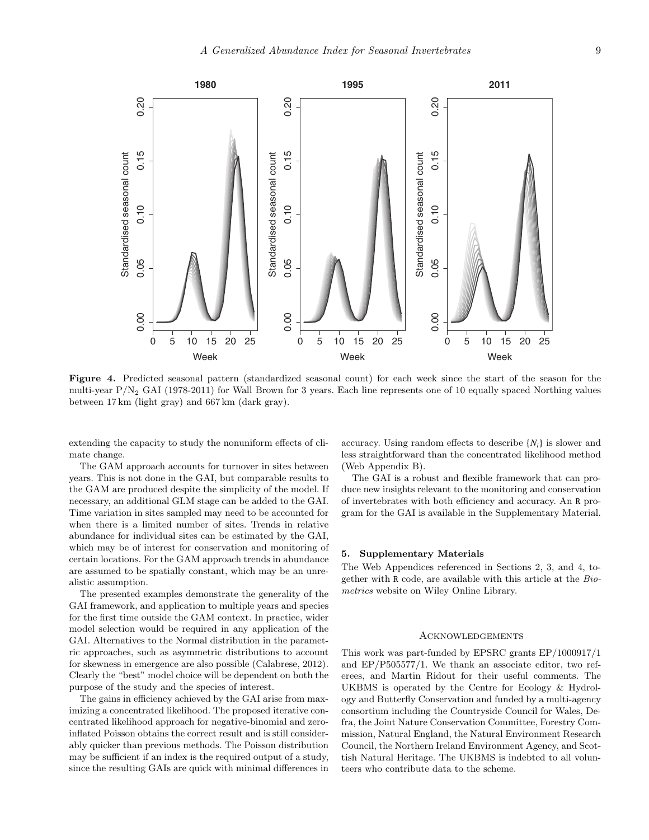<span id="page-9-0"></span>

Figure 4. Predicted seasonal pattern (standardized seasonal count) for each week since the start of the season for the multi-year  $P/N<sub>2</sub>$  GAI (1978-2011) for Wall Brown for 3 years. Each line represents one of 10 equally spaced Northing values between 17 km (light gray) and 667 km (dark gray).

extending the capacity to study the nonuniform effects of climate change.

The GAM approach accounts for turnover in sites between years. This is not done in the GAI, but comparable results to the GAM are produced despite the simplicity of the model. If necessary, an additional GLM stage can be added to the GAI. Time variation in sites sampled may need to be accounted for when there is a limited number of sites. Trends in relative abundance for individual sites can be estimated by the GAI, which may be of interest for conservation and monitoring of certain locations. For the GAM approach trends in abundance are assumed to be spatially constant, which may be an unrealistic assumption.

The presented examples demonstrate the generality of the GAI framework, and application to multiple years and species for the first time outside the GAM context. In practice, wider model selection would be required in any application of the GAI. Alternatives to the Normal distribution in the parametric approaches, such as asymmetric distributions to account for skewness in emergence are also possible (Calabrese, 2012). Clearly the "best" model choice will be dependent on both the purpose of the study and the species of interest.

The gains in efficiency achieved by the GAI arise from maximizing a concentrated likelihood. The proposed iterative concentrated likelihood approach for negative-binomial and zeroinflated Poisson obtains the correct result and is still considerably quicker than previous methods. The Poisson distribution may be sufficient if an index is the required output of a study, since the resulting GAIs are quick with minimal differences in accuracy. Using random effects to describe  $\{N_i\}$  is slower and less straightforward than the concentrated likelihood method (Web Appendix B).

The GAI is a robust and flexible framework that can produce new insights relevant to the monitoring and conservation of invertebrates with both efficiency and accuracy. An R program for the GAI is available in the Supplementary Material.

#### 5. Supplementary Materials

The Web Appendices referenced in Sections 2, 3, and 4, together with R code, are available with this article at the Biometrics website on Wiley Online Library.

#### **ACKNOWLEDGEMENTS**

This work was part-funded by EPSRC grants EP/1000917/1 and EP/P505577/1. We thank an associate editor, two referees, and Martin Ridout for their useful comments. The UKBMS is operated by the Centre for Ecology & Hydrology and Butterfly Conservation and funded by a multi-agency consortium including the Countryside Council for Wales, Defra, the Joint Nature Conservation Committee, Forestry Commission, Natural England, the Natural Environment Research Council, the Northern Ireland Environment Agency, and Scottish Natural Heritage. The UKBMS is indebted to all volunteers who contribute data to the scheme.